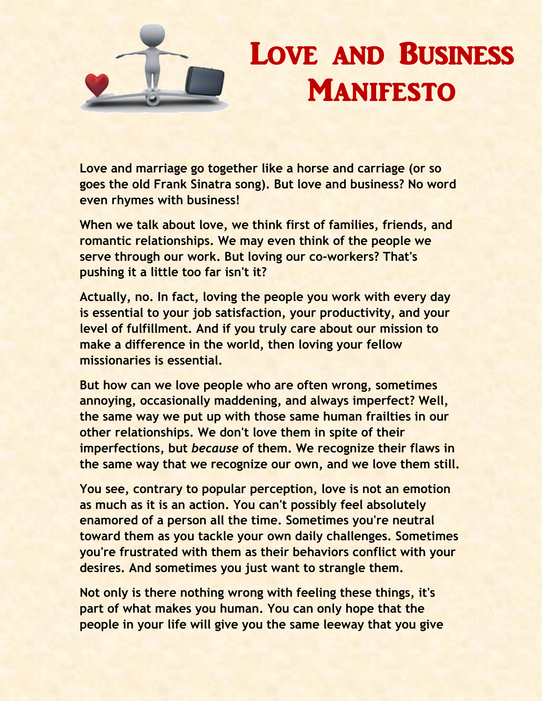

## Love and Business **MANIFESTO**

**Love and marriage go together like a horse and carriage (or so goes the old Frank Sinatra song). But love and business? No word even rhymes with business!** 

**When we talk about love, we think first of families, friends, and romantic relationships. We may even think of the people we serve through our work. But loving our co-workers? That's pushing it a little too far isn't it?** 

**Actually, no. In fact, loving the people you work with every day is essential to your job satisfaction, your productivity, and your level of fulfillment. And if you truly care about our mission to make a difference in the world, then loving your fellow missionaries is essential.**

**But how can we love people who are often wrong, sometimes annoying, occasionally maddening, and always imperfect? Well, the same way we put up with those same human frailties in our other relationships. We don't love them in spite of their imperfections, but** *because* **of them. We recognize their flaws in the same way that we recognize our own, and we love them still.** 

**You see, contrary to popular perception, love is not an emotion as much as it is an action. You can't possibly feel absolutely enamored of a person all the time. Sometimes you're neutral toward them as you tackle your own daily challenges. Sometimes you're frustrated with them as their behaviors conflict with your desires. And sometimes you just want to strangle them.** 

**Not only is there nothing wrong with feeling these things, it's part of what makes you human. You can only hope that the people in your life will give you the same leeway that you give**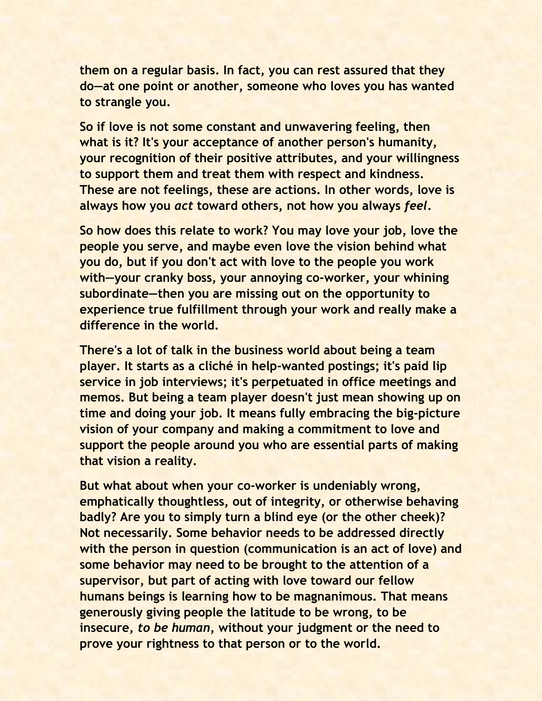**them on a regular basis. In fact, you can rest assured that they do—at one point or another, someone who loves you has wanted to strangle you.** 

**So if love is not some constant and unwavering feeling, then what is it? It's your acceptance of another person's humanity, your recognition of their positive attributes, and your willingness to support them and treat them with respect and kindness. These are not feelings, these are actions. In other words, love is always how you** *act* **toward others, not how you always** *feel***.** 

**So how does this relate to work? You may love your job, love the people you serve, and maybe even love the vision behind what you do, but if you don't act with love to the people you work with—your cranky boss, your annoying co-worker, your whining subordinate—then you are missing out on the opportunity to experience true fulfillment through your work and really make a difference in the world.** 

**There's a lot of talk in the business world about being a team player. It starts as a cliché in help-wanted postings; it's paid lip service in job interviews; it's perpetuated in office meetings and memos. But being a team player doesn't just mean showing up on time and doing your job. It means fully embracing the big-picture vision of your company and making a commitment to love and support the people around you who are essential parts of making that vision a reality.** 

**But what about when your co-worker is undeniably wrong, emphatically thoughtless, out of integrity, or otherwise behaving badly? Are you to simply turn a blind eye (or the other cheek)? Not necessarily. Some behavior needs to be addressed directly with the person in question (communication is an act of love) and some behavior may need to be brought to the attention of a supervisor, but part of acting with love toward our fellow humans beings is learning how to be magnanimous. That means generously giving people the latitude to be wrong, to be insecure,** *to be human***, without your judgment or the need to prove your rightness to that person or to the world.**